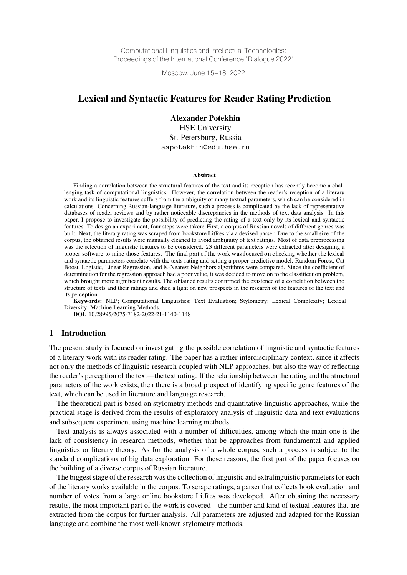Computational Linguistics and Intellectual Technologies: Proceedings of the International Conference "Dialogue 2022"

Moscow, June 15–18, 2022

# Lexical and Syntactic Features for Reader Rating Prediction

Alexander Potekhin HSE University St. Petersburg, Russia aapotekhin@edu.hse.ru

#### **Abstract**

Finding a correlation between the structural features of the text and its reception has recently become a challenging task of computational linguistics. However, the correlation between the reader's reception of a literary work and its linguistic features suffers from the ambiguity of many textual parameters, which can be considered in calculations. Concerning Russian-language literature, such a process is complicated by the lack of representative databases of reader reviews and by rather noticeable discrepancies in the methods of text data analysis. In this paper, I propose to investigate the possibility of predicting the rating of a text only by its lexical and syntactic features. To design an experiment, four steps were taken: First, a corpus of Russian novels of different genres was built. Next, the literary rating was scraped from bookstore LitRes via a devised parser. Due to the small size of the corpus, the obtained results were manually cleaned to avoid ambiguity of text ratings. Most of data preprocessing was the selection of linguistic features to be considered. 23 different parameters were extracted after designing a proper software to mine those features. The final part of the work was focused on checking whether the lexical and syntactic parameters correlate with the texts rating and setting a proper predictive model. Random Forest, Cat Boost, Logistic, Linear Regression, and K-Nearest Neighbors algorithms were compared. Since the coefficient of determination for the regression approach had a poor value, it was decided to move on to the classification problem, which brought more significant r esults. The obtained results confirmed the existence of a correlation between the structure of texts and their ratings and shed a light on new prospects in the research of the features of the text and its perception.

Keywords: NLP; Computational Linguistics; Text Evaluation; Stylometry; Lexical Complexity; Lexical Diversity; Machine Learning Methods.

DOI: 10.28995/2075-7182-2022-21-1140-1148

### 1 Introduction

The present study is focused on investigating the possible correlation of linguistic and syntactic features of a literary work with its reader rating. The paper has a rather interdisciplinary context, since it affects not only the methods of linguistic research coupled with NLP approaches, but also the way of reflecting the reader's perception of the text—the text rating. If the relationship between the rating and the structural parameters of the work exists, then there is a broad prospect of identifying specific genre features of the text, which can be used in literature and language research.

The theoretical part is based on stylometry methods and quantitative linguistic approaches, while the practical stage is derived from the results of exploratory analysis of linguistic data and text evaluations and subsequent experiment using machine learning methods.

Text analysis is always associated with a number of difficulties, among which the main one is the lack of consistency in research methods, whether that be approaches from fundamental and applied linguistics or literary theory. As for the analysis of a whole corpus, such a process is subject to the standard complications of big data exploration. For these reasons, the first part of the paper focuses on the building of a diverse corpus of Russian literature.

The biggest stage of the research was the collection of linguistic and extralinguistic parameters for each of the literary works available in the corpus. To scrape ratings, a parser that collects book evaluation and number of votes from a large online bookstore LitRes was developed. After obtaining the necessary results, the most important part of the work is covered—the number and kind of textual features that are extracted from the corpus for further analysis. All parameters are adjusted and adapted for the Russian language and combine the most well-known stylometry methods.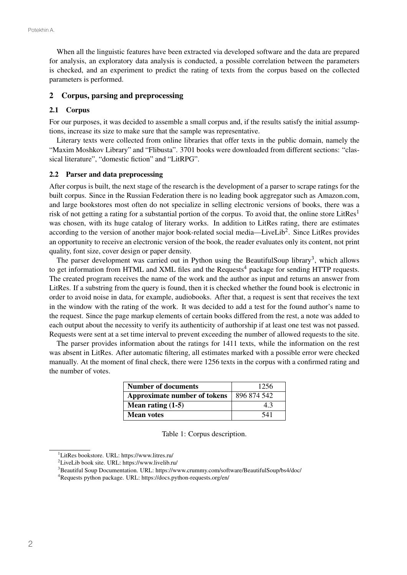When all the linguistic features have been extracted via developed software and the data are prepared for analysis, an exploratory data analysis is conducted, a possible correlation between the parameters is checked, and an experiment to predict the rating of texts from the corpus based on the collected parameters is performed.

## 2 Corpus, parsing and preprocessing

### 2.1 Corpus

For our purposes, it was decided to assemble a small corpus and, if the results satisfy the initial assumptions, increase its size to make sure that the sample was representative.

Literary texts were collected from online libraries that offer texts in the public domain, namely the "Maxim Moshkov Library" and "Flibusta". 3701 books were downloaded from different sections: "classical literature", "domestic fiction" and "LitRPG".

#### 2.2 Parser and data preprocessing

After corpus is built, the next stage of the research is the development of a parser to scrape ratings for the built corpus. Since in the Russian Federation there is no leading book aggregator such as Amazon.com, and large bookstores most often do not specialize in selling electronic versions of books, there was a risk of not getting a rating for a substantial portion of the corpus. To avoid that, the online store LitRes<sup>1</sup> was chosen, with its huge catalog of literary works. In addition to LitRes rating, there are estimates according to the version of another major book-related social media—LiveLib<sup>2</sup>. Since LitRes provides an opportunity to receive an electronic version of the book, the reader evaluates only its content, not print quality, font size, cover design or paper density.

The parser development was carried out in Python using the BeautifulSoup library<sup>3</sup>, which allows to get information from HTML and XML files and the Requests<sup>4</sup> package for sending HTTP requests. The created program receives the name of the work and the author as input and returns an answer from LitRes. If a substring from the query is found, then it is checked whether the found book is electronic in order to avoid noise in data, for example, audiobooks. After that, a request is sent that receives the text in the window with the rating of the work. It was decided to add a test for the found author's name to the request. Since the page markup elements of certain books differed from the rest, a note was added to each output about the necessity to verify its authenticity of authorship if at least one test was not passed. Requests were sent at a set time interval to prevent exceeding the number of allowed requests to the site.

The parser provides information about the ratings for 1411 texts, while the information on the rest was absent in LitRes. After automatic filtering, all estimates marked with a possible error were checked manually. At the moment of final check, there were 1256 texts in the corpus with a confirmed rating and the number of votes.

| Number of documents          | 1256        |  |
|------------------------------|-------------|--|
| Approximate number of tokens | 896 874 542 |  |
| Mean rating $(1-5)$          | 43          |  |
| <b>Mean votes</b>            | 541         |  |

Table 1: Corpus description.

<sup>1</sup> LitRes bookstore. URL: https://www.litres.ru/

<sup>2</sup> LiveLib book site. URL: https://www.livelib.ru/

<sup>&</sup>lt;sup>3</sup> Beautiful Soup Documentation. URL: https://www.crummy.com/software/BeautifulSoup/bs4/doc/

<sup>4</sup> Requests python package. URL: https://docs.python-requests.org/en/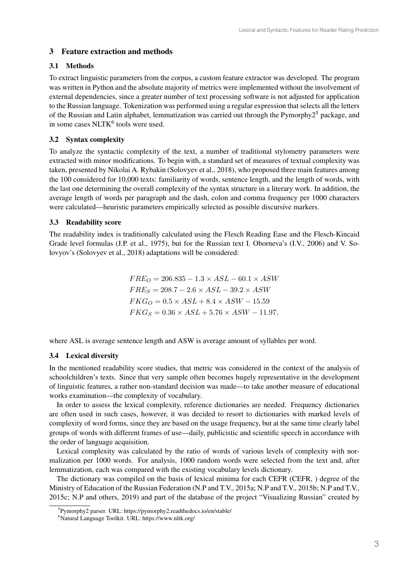# 3 Feature extraction and methods

# 3.1 Methods

To extract linguistic parameters from the corpus, a custom feature extractor was developed. The program was written in Python and the absolute majority of metrics were implemented without the involvement of external dependencies, since a greater number of text processing software is not adjusted for application to the Russian language. Tokenization was performed using a regular expression that selects all the letters of the Russian and Latin alphabet, lemmatization was carried out through the Pymorphy2<sup>5</sup> package, and in some cases  $NLTK<sup>6</sup>$  tools were used.

# 3.2 Syntax complexity

To analyze the syntactic complexity of the text, a number of traditional stylometry parameters were extracted with minor modifications. To begin with, a standard set of measures of textual complexity was taken, presented by Nikolai A. Rybakin (Solovyev et al., 2018), who proposed three main features among the 100 considered for 10,000 texts: familiarity of words, sentence length, and the length of words, with the last one determining the overall complexity of the syntax structure in a literary work. In addition, the average length of words per paragraph and the dash, colon and comma frequency per 1000 characters were calculated—heuristic parameters empirically selected as possible discursive markers.

## 3.3 Readability score

The readability index is traditionally calculated using the Flesch Reading Ease and the Flesch-Kincaid Grade level formulas (J.P. et al., 1975), but for the Russian text I. Oborneva's (I.V., 2006) and V. Solovyov's (Solovyev et al., 2018) adaptations will be considered:

> $FRE_O = 206.835 - 1.3 \times ASL - 60.1 \times ASW$  $FRE_S = 208.7 - 2.6 \times ASL - 39.2 \times ASW$  $FKG_O = 0.5 \times ASL + 8.4 \times ASW - 15.59$  $FKG_S = 0.36 \times ASL + 5.76 \times ASW - 11.97,$

where ASL is average sentence length and ASW is average amount of syllables per word.

# 3.4 Lexical diversity

In the mentioned readability score studies, that metric was considered in the context of the analysis of schoolchildren's texts. Since that very sample often becomes hugely representative in the development of linguistic features, a rather non-standard decision was made—to take another measure of educational works examination—the complexity of vocabulary.

In order to assess the lexical complexity, reference dictionaries are needed. Frequency dictionaries are often used in such cases, however, it was decided to resort to dictionaries with marked levels of complexity of word forms, since they are based on the usage frequency, but at the same time clearly label groups of words with different frames of use—daily, publicistic and scientific speech in accordance with the order of language acquisition.

Lexical complexity was calculated by the ratio of words of various levels of complexity with normalization per 1000 words. For analysis, 1000 random words were selected from the text and, after lemmatization, each was compared with the existing vocabulary levels dictionary.

The dictionary was compiled on the basis of lexical minima for each CEFR (CEFR, ) degree of the Ministry of Education of the Russian Federation (N.P and T.V., 2015a; N.P and T.V., 2015b; N.P and T.V., 2015c; N.P and others, 2019) and part of the database of the project "Visualizing Russian" created by

<sup>5</sup> Pymorphy2 parser. URL: https://pymorphy2.readthedocs.io/en/stable/

<sup>6</sup> Natural Language Toolkit. URL: https://www.nltk.org/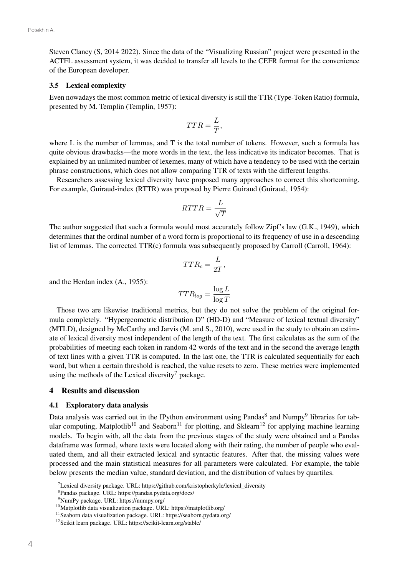Steven Clancy (S, 2014 2022). Since the data of the "Visualizing Russian" project were presented in the ACTFL assessment system, it was decided to transfer all levels to the CEFR format for the convenience of the European developer.

### 3.5 Lexical complexity

Even nowadays the most common metric of lexical diversity is still the TTR (Type-Token Ratio) formula, presented by M. Templin (Templin, 1957):

$$
TTR = \frac{L}{T},
$$

where L is the number of lemmas, and T is the total number of tokens. However, such a formula has quite obvious drawbacks—the more words in the text, the less indicative its indicator becomes. That is explained by an unlimited number of lexemes, many of which have a tendency to be used with the certain phrase constructions, which does not allow comparing TTR of texts with the different lengths.

Researchers assessing lexical diversity have proposed many approaches to correct this shortcoming. For example, Guiraud-index (RTTR) was proposed by Pierre Guiraud (Guiraud, 1954):

$$
RTTR = \frac{L}{\sqrt{T}}
$$

The author suggested that such a formula would most accurately follow Zipf's law (G.K., 1949), which determines that the ordinal number of a word form is proportional to its frequency of use in a descending list of lemmas. The corrected TTR(c) formula was subsequently proposed by Carroll (Carroll, 1964):

$$
TTR_c = \frac{L}{2T},
$$

and the Herdan index (A., 1955):

$$
TTR_{log} = \frac{\log L}{\log T}
$$

Those two are likewise traditional metrics, but they do not solve the problem of the original formula completely. "Hypergeometric distribution D" (HD-D) and "Measure of lexical textual diversity" (MTLD), designed by McCarthy and Jarvis (M. and S., 2010), were used in the study to obtain an estimate of lexical diversity most independent of the length of the text. The first calculates as the sum of the probabilities of meeting each token in random 42 words of the text and in the second the average length of text lines with a given TTR is computed. In the last one, the TTR is calculated sequentially for each word, but when a certain threshold is reached, the value resets to zero. These metrics were implemented using the methods of the Lexical diversity<sup>7</sup> package.

#### 4 Results and discussion

#### 4.1 Exploratory data analysis

Data analysis was carried out in the IPython environment using Pandas<sup>8</sup> and Numpy<sup>9</sup> libraries for tabular computing, Matplotlib<sup>10</sup> and Seaborn<sup>11</sup> for plotting, and Sklearn<sup>12</sup> for applying machine learning models. To begin with, all the data from the previous stages of the study were obtained and a Pandas dataframe was formed, where texts were located along with their rating, the number of people who evaluated them, and all their extracted lexical and syntactic features. After that, the missing values were processed and the main statistical measures for all parameters were calculated. For example, the table below presents the median value, standard deviation, and the distribution of values by quartiles.

<sup>&</sup>lt;sup>7</sup>Lexical diversity package. URL: https://github.com/kristopherkyle/lexical\_diversity

<sup>8</sup> Pandas package. URL: https://pandas.pydata.org/docs/

<sup>9</sup> NumPy package. URL: https://numpy.org/

<sup>10</sup>Matplotlib data visualization package. URL: https://matplotlib.org/

<sup>11</sup>Seaborn data visualization package. URL: https://seaborn.pydata.org/

<sup>12</sup>Scikit learn package. URL: https://scikit-learn.org/stable/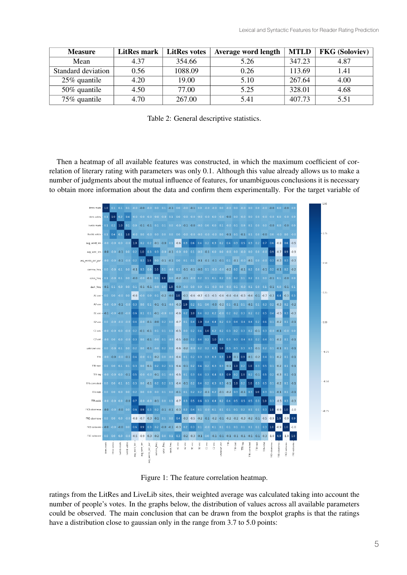| <b>Measure</b>     | LitRes mark | <b>LitRes votes</b> | Average word length | <b>MTLD</b> | <b>FKG</b> (Soloviev) |
|--------------------|-------------|---------------------|---------------------|-------------|-----------------------|
| Mean               | 4.37        | 354.66              | 5.26                | 347.23      | 4.87                  |
| Standard deviation | 0.56        | 1088.09             | 0.26                | 113.69      | 1.41                  |
| 25% quantile       | 4.20        | 19.00               | 5.10                | 267.64      | 4.00                  |
| 50% quantile       | 4.50        | 77.00               | 5.25                | 328.01      | 4.68                  |
| 75% quantile       | 4.70        | 267.00              | 5.41                | 407.73      | 5.51                  |

Table 2: General descriptive statistics.

Then a heatmap of all available features was constructed, in which the maximum coefficient of correlation of literary rating with parameters was only 0.1. Although this value already allows us to make a number of judgments about the mutual influence of features, for unambiguous conclusions it is necessary to obtain more information about the data and confirm them experimentally. For the target variable of



Figure 1: The feature correlation heatmap.

ratings from the LitRes and LiveLib sites, their weighted average was calculated taking into account the number of people's votes. In the graphs below, the distribution of values across all available parameters could be observed. The main conclusion that can be drawn from the boxplot graphs is that the ratings have a distribution close to gaussian only in the range from 3.7 to 5.0 points: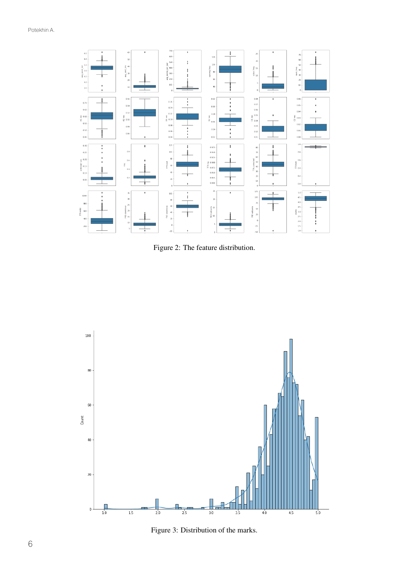

Figure 2: The feature distribution.



Figure 3: Distribution of the marks.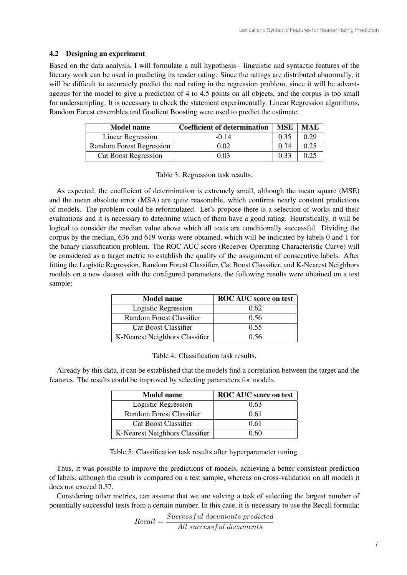### 4.2 Designing an experiment

Based on the data analysis, I will formulate a null hypothesis—linguistic and syntactic features of the literary work can be used in predicting its reader rating. Since the ratings are distributed abnormally, it will be difficult to accurately predict the real rating in the regression problem, since it will be advantageous for the model to give a prediction of 4 to 4.5 points on all objects, and the corpus is too small for undersampling. It is necessary to check the statement experimentally. Linear Regression algorithms, Random Forest ensembles and Gradient Boosting were used to predict the estimate.

| <b>Model name</b>               | <b>Coefficient of determination</b> | <b>MSE</b> | MAE  |
|---------------------------------|-------------------------------------|------------|------|
| Linear Regression               | $-0.14$                             | 0.35       | 0.29 |
| <b>Random Forest Regression</b> | 0.02                                | 0.34       | 0.25 |
| <b>Cat Boost Regression</b>     | 0.03                                | 0.33       | 0.25 |

Table 3: Regression task results.

As expected, the coefficient of determination is extremely small, although the mean square (MSE) and the mean absolute error (MSA) are quite reasonable, which confirms nearly constant predictions of models. The problem could be reformulated. Let's propose there is a selection of works and their evaluations and it is necessary to determine which of them have a good rating. Heuristically, it will be logical to consider the median value above which all texts are conditionally successful. Dividing the corpus by the median, 636 and 619 works were obtained, which will be indicated by labels 0 and 1 for the binary classification problem. The ROC AUC score (Receiver Operating Characteristic Curve) will be considered as a target metric to establish the quality of the assignment of consecutive labels. After fitting the Logistic Regression, Random Forest Classifier, Cat Boost Classifier, and K-Nearest Neighbors models on a new dataset with the configured parameters, the following results were obtained on a test sample:

| <b>Model name</b>              | <b>ROC AUC</b> score on test |
|--------------------------------|------------------------------|
| Logistic Regression            | 0.62                         |
| Random Forest Classifier       | 0.56                         |
| Cat Boost Classifier           | 0.55                         |
| K-Nearest Neighbors Classifier | 0 56                         |

|  | Table 4: Classification task results. |  |  |
|--|---------------------------------------|--|--|
|--|---------------------------------------|--|--|

Already by this data, it can be established that the models find a correlation between the target and the features. The results could be improved by selecting parameters for models.

| <b>Model name</b>              | ROC AUC score on test |
|--------------------------------|-----------------------|
| Logistic Regression            | 0.63                  |
| Random Forest Classifier       | 0.61                  |
| Cat Boost Classifier           | 0.61                  |
| K-Nearest Neighbors Classifier | 0.60                  |

Table 5: Classification task results after hyperparameter tuning.

Thus, it was possible to improve the predictions of models, achieving a better consistent prediction of labels, although the result is compared on a test sample, whereas on cross-validation on all models it does not exceed 0.57.

Considering other metrics, can assume that we are solving a task of selecting the largest number of potentially successful texts from a certain number. In this case, it is necessary to use the Recall formula:

 $Recall = \frac{Successful\:documents\: predicted}{All\: successfully\: documents}$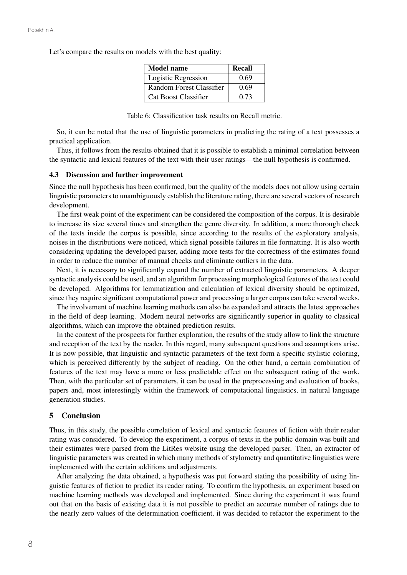Let's compare the results on models with the best quality:

| <b>Model name</b>        | Recall |
|--------------------------|--------|
| Logistic Regression      | 0.69   |
| Random Forest Classifier | 0.69   |
| Cat Boost Classifier     | 0.73   |

Table 6: Classification task results on Recall metric.

So, it can be noted that the use of linguistic parameters in predicting the rating of a text possesses a practical application.

Thus, it follows from the results obtained that it is possible to establish a minimal correlation between the syntactic and lexical features of the text with their user ratings—the null hypothesis is confirmed.

#### 4.3 Discussion and further improvement

Since the null hypothesis has been confirmed, but the quality of the models does not allow using certain linguistic parameters to unambiguously establish the literature rating, there are several vectors of research development.

The first weak point of the experiment can be considered the composition of the corpus. It is desirable to increase its size several times and strengthen the genre diversity. In addition, a more thorough check of the texts inside the corpus is possible, since according to the results of the exploratory analysis, noises in the distributions were noticed, which signal possible failures in file formatting. It is also worth considering updating the developed parser, adding more tests for the correctness of the estimates found in order to reduce the number of manual checks and eliminate outliers in the data.

Next, it is necessary to significantly expand the number of extracted linguistic parameters. A deeper syntactic analysis could be used, and an algorithm for processing morphological features of the text could be developed. Algorithms for lemmatization and calculation of lexical diversity should be optimized, since they require significant computational power and processing a larger corpus can take several weeks.

The involvement of machine learning methods can also be expanded and attracts the latest approaches in the field of deep learning. Modern neural networks are significantly superior in quality to classical algorithms, which can improve the obtained prediction results.

In the context of the prospects for further exploration, the results of the study allow to link the structure and reception of the text by the reader. In this regard, many subsequent questions and assumptions arise. It is now possible, that linguistic and syntactic parameters of the text form a specific stylistic coloring, which is perceived differently by the subject of reading. On the other hand, a certain combination of features of the text may have a more or less predictable effect on the subsequent rating of the work. Then, with the particular set of parameters, it can be used in the preprocessing and evaluation of books, papers and, most interestingly within the framework of computational linguistics, in natural language generation studies.

### 5 Conclusion

Thus, in this study, the possible correlation of lexical and syntactic features of fiction with their reader rating was considered. To develop the experiment, a corpus of texts in the public domain was built and their estimates were parsed from the LitRes website using the developed parser. Then, an extractor of linguistic parameters was created in which many methods of stylometry and quantitative linguistics were implemented with the certain additions and adjustments.

After analyzing the data obtained, a hypothesis was put forward stating the possibility of using linguistic features of fiction to predict its reader rating. To confirm the hypothesis, an experiment based on machine learning methods was developed and implemented. Since during the experiment it was found out that on the basis of existing data it is not possible to predict an accurate number of ratings due to the nearly zero values of the determination coefficient, it was decided to refactor the experiment to the